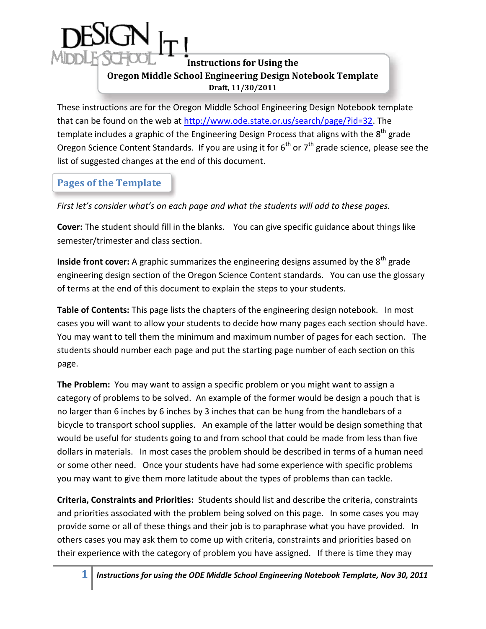## **Instructions for Using the Oregon Middle School Engineering Design Notebook Template Draft, 11/30/2011**

 These instructions are for the Oregon Middle School Engineering Design Notebook template that can be found on the web at <u>http://www.ode.state.or.us/search/page/?id=32</u>. The template includes a graphic of the Engineering Design Process that aligns with the  $8^\text{th}$  grade Oregon Science Content Standards. If you are using it for  $6^{th}$  or  $7^{th}$  grade science, please see the list of suggested changes at the end of this document.

# **Pages of the Template**

 *First let's consider what's on each page and what the students will add to these pages.* 

 **Cover:** The student should fill in the blanks. You can give specific guidance about things like semester/trimester and class section.

**Inside front cover:** A graphic summarizes the engineering designs assumed by the 8<sup>th</sup> grade engineering design section of the Oregon Science Content standards. You can use the glossary of terms at the end of this document to explain the steps to your students.

 **Table of Contents:** This page lists the chapters of the engineering design notebook. In most cases you will want to allow your students to decide how many pages each section should have. You may want to tell them the minimum and maximum number of pages for each section. The students should number each page and put the starting page number of each section on this page.

 **The Problem:** You may want to assign a specific problem or you might want to assign a category of problems to be solved. An example of the former would be design a pouch that is no larger than 6 inches by 6 inches by 3 inches that can be hung from the handlebars of a bicycle to transport school supplies. An example of the latter would be design something that would be useful for students going to and from school that could be made from less than five dollars in materials. In most cases the problem should be described in terms of a human need or some other need. Once your students have had some experience with specific problems you may want to give them more latitude about the types of problems than can tackle.

 **Criteria, Constraints and Priorities:** Students should list and describe the criteria, constraints and priorities associated with the problem being solved on this page. In some cases you may provide some or all of these things and their job is to paraphrase what you have provided. In others cases you may ask them to come up with criteria, constraints and priorities based on their experience with the category of problem you have assigned. If there is time they may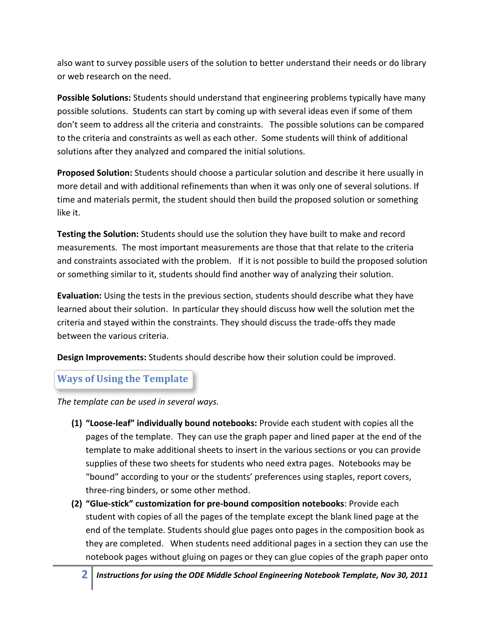also want to survey possible users of the solution to better understand their needs or do library or web research on the need.

 **Possible Solutions:** Students should understand that engineering problems typically have many possible solutions. Students can start by coming up with several ideas even if some of them don't seem to address all the criteria and constraints. The possible solutions can be compared to the criteria and constraints as well as each other. Some students will think of additional solutions after they analyzed and compared the initial solutions.

 **Proposed Solution:** Students should choose a particular solution and describe it here usually in more detail and with additional refinements than when it was only one of several solutions. If time and materials permit, the student should then build the proposed solution or something like it.

 **Testing the Solution:** Students should use the solution they have built to make and record measurements. The most important measurements are those that that relate to the criteria and constraints associated with the problem. If it is not possible to build the proposed solution or something similar to it, students should find another way of analyzing their solution.

 **Evaluation:** Using the tests in the previous section, students should describe what they have learned about their solution. In particular they should discuss how well the solution met the criteria and stayed within the constraints. They should discuss the trade-offs they made between the various criteria.

**Design Improvements:** Students should describe how their solution could be improved.

### **Ways of Using the Template**

 *The template can be used in several ways.* 

- **(1) "Loose-leaf" individually bound notebooks:** Provide each student with copies all the pages of the template. They can use the graph paper and lined paper at the end of the template to make additional sheets to insert in the various sections or you can provide supplies of these two sheets for students who need extra pages. Notebooks may be "bound" according to your or the students' preferences using staples, report covers, three-ring binders, or some other method.
- student with copies of all the pages of the template except the blank lined page at the end of the template. Students should glue pages onto pages in the composition book as they are completed. When students need additional pages in a section they can use the notebook pages without gluing on pages or they can glue copies of the graph paper onto **(2) "Glue-stick" customization for pre-bound composition notebooks**: Provide each
	- **2** *Instructions for using the ODE Middle School Engineering Notebook Template, Nov 30, 2011*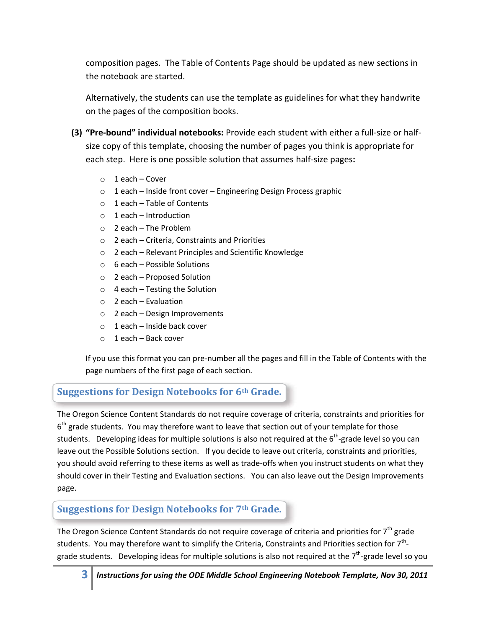composition pages. The Table of Contents Page should be updated as new sections in the notebook are started.

 Alternatively, the students can use the template as guidelines for what they handwrite on the pages of the composition books.

- **(3) "Pre-bound" individual notebooks:** Provide each student with either a full-size or half- size copy of this template, choosing the number of pages you think is appropriate for each step. Here is one possible solution that assumes half-size pages**:** 
	- o 1 each Cover
	- $\circ$  1 each Inside front cover Engineering Design Process graphic
	- $\circ$  1 each Table of Contents
	- o 1 each Introduction
	- o 2 each The Problem
	- o 2 each Criteria, Constraints and Priorities
	- o 2 each Relevant Principles and Scientific Knowledge
	- $\circ$  6 each Possible Solutions
	- o 2 each Proposed Solution
	- o 4 each Testing the Solution
	- o 2 each Evaluation
	- o 2 each Design Improvements
	- o 1 each Inside back cover
	- o 1 each Back cover

 page numbers of the first page of each section. If you use this format you can pre-number all the pages and fill in the Table of Contents with the

## **Suggestions for Design Notebooks for 6th Grade.**

students. Developing ideas for multiple solutions is also not required at the 6<sup>th</sup>-grade level so you can you should avoid referring to these items as well as trade-offs when you instruct students on what they should cover in their Testing and Evaluation sections. You can also leave out the Design Improvements The Oregon Science Content Standards do not require coverage of criteria, constraints and priorities for  $6<sup>th</sup>$  grade students. You may therefore want to leave that section out of your template for those leave out the Possible Solutions section. If you decide to leave out criteria, constraints and priorities, page.

### **Suggestions for Design Notebooks for 7th Grade.**

grade students. Developing ideas for multiple solutions is also not required at the 7<sup>th</sup>-grade level so you The Oregon Science Content Standards do not require coverage of criteria and priorities for  $7<sup>th</sup>$  grade students. You may therefore want to simplify the Criteria, Constraints and Priorities section for  $7<sup>th</sup>$ -